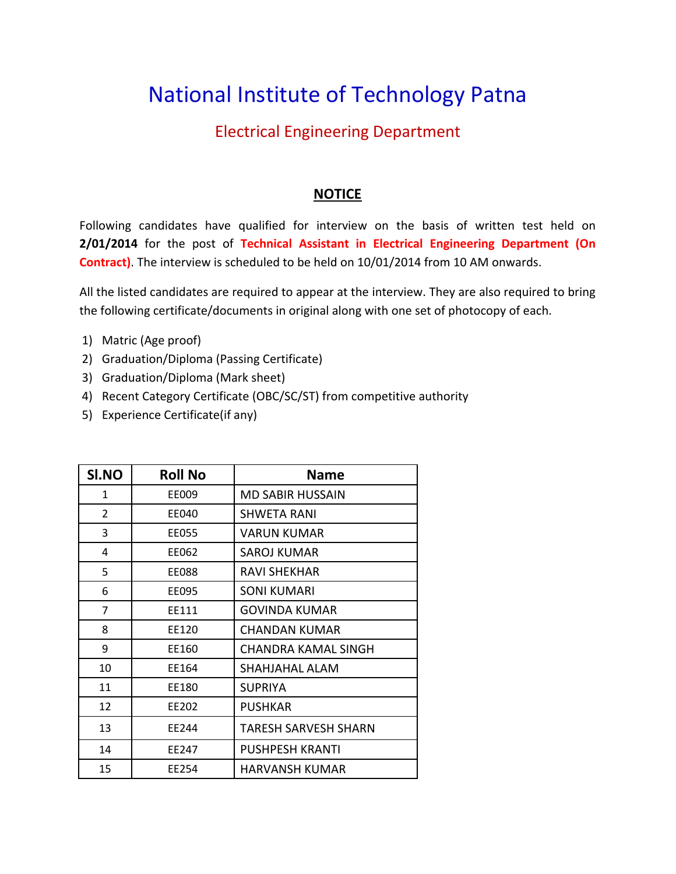## National Institute of Technology Patna

## Electrical Engineering Department

## **NOTICE**

Following candidates have qualified for interview on the basis of written test held on **2/01/2014** for the post of **Technical Assistant in Electrical Engineering Department (On Contract)**. The interview is scheduled to be held on 10/01/2014 from 10 AM onwards.

All the listed candidates are required to appear at the interview. They are also required to bring the following certificate/documents in original along with one set of photocopy of each.

- 1) Matric (Age proof)
- 2) Graduation/Diploma (Passing Certificate)
- 3) Graduation/Diploma (Mark sheet)
- 4) Recent Category Certificate (OBC/SC/ST) from competitive authority
- 5) Experience Certificate(if any)

| SI.NO          | <b>Roll No</b> | <b>Name</b>                 |
|----------------|----------------|-----------------------------|
| 1              | EE009          | MD SABIR HUSSAIN            |
| $\overline{2}$ | EE040          | SHWETA RANI                 |
| 3              | EE055          | VARUN KUMAR                 |
| 4              | EE062          | SAROJ KUMAR                 |
| 5              | <b>EE088</b>   | RAVI SHEKHAR                |
| 6              | EE095          | <b>SONI KUMARI</b>          |
| $\overline{7}$ | FF111          | GOVINDA KUMAR               |
| 8              | EE120          | CHANDAN KUMAR               |
| 9              | EE160          | CHANDRA KAMAL SINGH         |
| 10             | FF164          | SHAHJAHAL ALAM              |
| 11             | EE180          | <b>SUPRIYA</b>              |
| 12             | EE202          | <b>PUSHKAR</b>              |
| 13             | FF244          | <b>TARESH SARVESH SHARN</b> |
| 14             | FF247          | <b>PUSHPESH KRANTI</b>      |
| 15             | EE254          | HARVANSH KUMAR              |